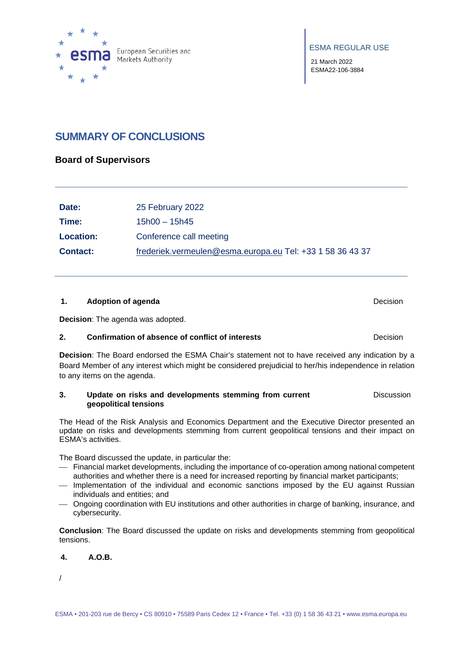

ESMA REGULAR USE

21 March 2022 ESMA22-106-3884

# **SUMMARY OF CONCLUSIONS**

## **Board of Supervisors**

| Date:            | 25 February 2022                                          |
|------------------|-----------------------------------------------------------|
| Time:            | $15h00 - 15h45$                                           |
| <b>Location:</b> | Conference call meeting                                   |
| <b>Contact:</b>  | frederiek.vermeulen@esma.europa.eu Tel: +33 1 58 36 43 37 |

#### **1. Adoption of agenda Decision Decision Decision**

**Decision**: The agenda was adopted.

#### **2. Confirmation of absence of conflict of interests Decision**

**Decision**: The Board endorsed the ESMA Chair's statement not to have received any indication by a Board Member of any interest which might be considered prejudicial to her/his independence in relation to any items on the agenda.

#### **3. Update on risks and developments stemming from current geopolitical tensions Discussion**

The Head of the Risk Analysis and Economics Department and the Executive Director presented an update on risks and developments stemming from current geopolitical tensions and their impact on ESMA's activities.

The Board discussed the update, in particular the:

- Financial market developments, including the importance of co-operation among national competent authorities and whether there is a need for increased reporting by financial market participants;
- Implementation of the individual and economic sanctions imposed by the EU against Russian individuals and entities; and
- Ongoing coordination with EU institutions and other authorities in charge of banking, insurance, and cybersecurity.

**Conclusion**: The Board discussed the update on risks and developments stemming from geopolitical tensions.

#### **4. A.O.B.**

/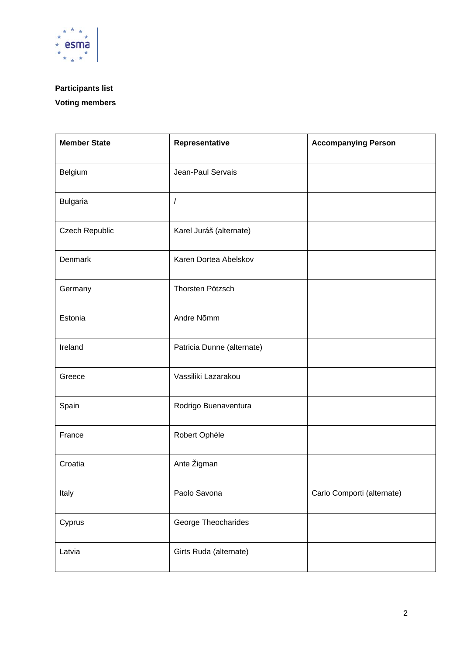

# **Participants list**

# **Voting members**

| <b>Member State</b> | Representative             | <b>Accompanying Person</b> |
|---------------------|----------------------------|----------------------------|
| Belgium             | Jean-Paul Servais          |                            |
| <b>Bulgaria</b>     | 1                          |                            |
| Czech Republic      | Karel Juráš (alternate)    |                            |
| Denmark             | Karen Dortea Abelskov      |                            |
| Germany             | Thorsten Pötzsch           |                            |
| Estonia             | Andre Nõmm                 |                            |
| Ireland             | Patricia Dunne (alternate) |                            |
| Greece              | Vassiliki Lazarakou        |                            |
| Spain               | Rodrigo Buenaventura       |                            |
| France              | Robert Ophèle              |                            |
| Croatia             | Ante Žigman                |                            |
| Italy               | Paolo Savona               | Carlo Comporti (alternate) |
| Cyprus              | George Theocharides        |                            |
| Latvia              | Girts Ruda (alternate)     |                            |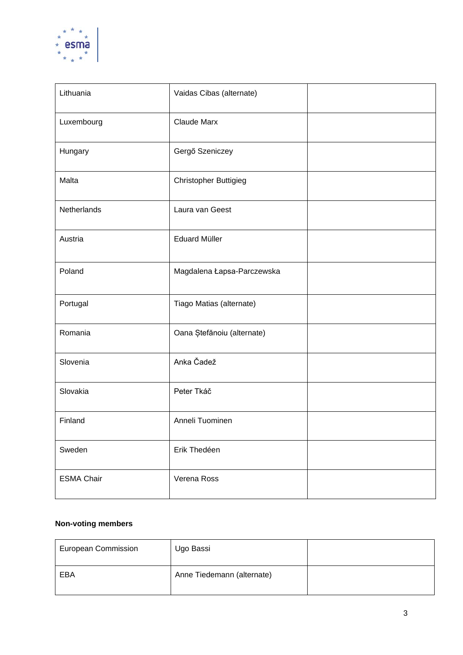

| Lithuania         | Vaidas Cibas (alternate)   |  |
|-------------------|----------------------------|--|
| Luxembourg        | <b>Claude Marx</b>         |  |
| Hungary           | Gergő Szeniczey            |  |
| Malta             | Christopher Buttigieg      |  |
| Netherlands       | Laura van Geest            |  |
| Austria           | <b>Eduard Müller</b>       |  |
| Poland            | Magdalena Łapsa-Parczewska |  |
| Portugal          | Tiago Matias (alternate)   |  |
| Romania           | Oana Ștefănoiu (alternate) |  |
| Slovenia          | Anka Čadež                 |  |
| Slovakia          | Peter Tkáč                 |  |
| Finland           | Anneli Tuominen            |  |
| Sweden            | Erik Thedéen               |  |
| <b>ESMA Chair</b> | Verena Ross                |  |

## **Non-voting members**

| <b>European Commission</b> | Ugo Bassi                  |  |
|----------------------------|----------------------------|--|
| EBA                        | Anne Tiedemann (alternate) |  |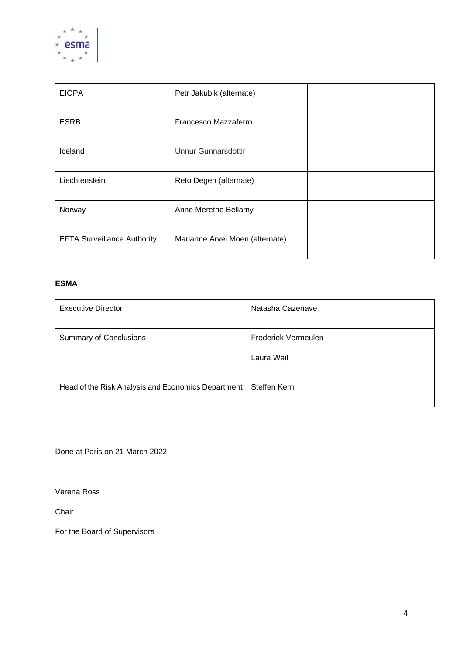

| <b>EIOPA</b>                       | Petr Jakubik (alternate)        |  |
|------------------------------------|---------------------------------|--|
| <b>ESRB</b>                        | Francesco Mazzaferro            |  |
| Iceland                            | <b>Unnur Gunnarsdottir</b>      |  |
| Liechtenstein                      | Reto Degen (alternate)          |  |
| Norway                             | Anne Merethe Bellamy            |  |
| <b>EFTA Surveillance Authority</b> | Marianne Arvei Moen (alternate) |  |

## **ESMA**

| <b>Executive Director</b>                          | Natasha Cazenave    |
|----------------------------------------------------|---------------------|
| <b>Summary of Conclusions</b>                      | Frederiek Vermeulen |
|                                                    | Laura Weil          |
| Head of the Risk Analysis and Economics Department | <b>Steffen Kern</b> |

Done at Paris on 21 March 2022

Verena Ross

Chair

For the Board of Supervisors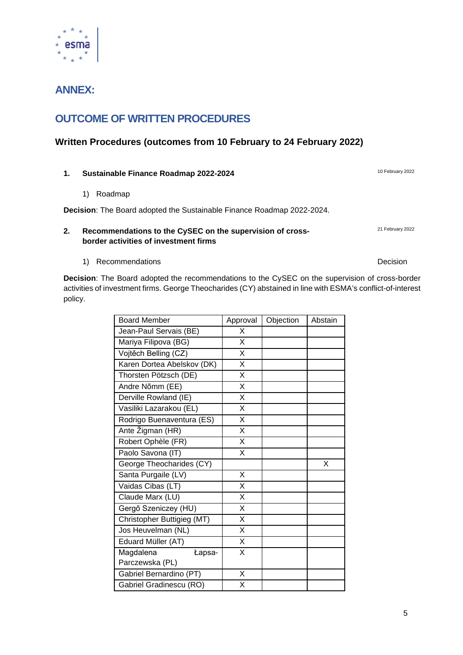# **ANNEX:**

# **OUTCOME OF WRITTEN PROCEDURES**

## **Written Procedures (outcomes from 10 February to 24 February 2022)**

## **1.** Sustainable Finance Roadmap 2022-2024 10 February 2022

1) Roadmap

**Decision**: The Board adopted the Sustainable Finance Roadmap 2022-2024.

#### **2. Recommendations to the CySEC on the supervision of crossborder activities of investment firms**

1) Recommendations **Decision Decision** 

**Decision**: The Board adopted the recommendations to the CySEC on the supervision of cross-border activities of investment firms. George Theocharides (CY) abstained in line with ESMA's conflict-of-interest policy.

| <b>Board Member</b>        | Approval                | Objection | Abstain |
|----------------------------|-------------------------|-----------|---------|
| Jean-Paul Servais (BE)     | X                       |           |         |
| Mariya Filipova (BG)       | X                       |           |         |
| Vojtěch Belling (CZ)       | X                       |           |         |
| Karen Dortea Abelskov (DK) | X                       |           |         |
| Thorsten Pötzsch (DE)      | X                       |           |         |
| Andre Nõmm (EE)            | X                       |           |         |
| Derville Rowland (IE)      | $\overline{\mathsf{x}}$ |           |         |
| Vasiliki Lazarakou (EL)    | X                       |           |         |
| Rodrigo Buenaventura (ES)  | X                       |           |         |
| Ante Žigman (HR)           | X                       |           |         |
| Robert Ophèle (FR)         | X                       |           |         |
| Paolo Savona (IT)          | X                       |           |         |
| George Theocharides (CY)   |                         |           | X       |
| Santa Purgaile (LV)        | X                       |           |         |
| Vaidas Cibas (LT)          | X                       |           |         |
| Claude Marx (LU)           | X                       |           |         |
| Gergő Szeniczey (HU)       | X                       |           |         |
| Christopher Buttigieg (MT) | X                       |           |         |
| Jos Heuvelman (NL)         | X                       |           |         |
| Eduard Müller (AT)         | Χ                       |           |         |
| Magdalena<br>Łapsa-        | X                       |           |         |
| Parczewska (PL)            |                         |           |         |
| Gabriel Bernardino (PT)    | X                       |           |         |
| Gabriel Gradinescu (RO)    | Χ                       |           |         |

21 February 2022